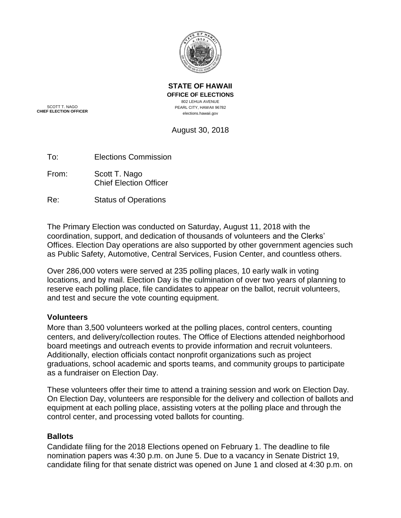

**STATE OF HAWAII OFFICE OF ELECTIONS** 802 LEHUA AVENUE PEARL CITY, HAWAII 96782 elections.hawaii.gov

SCOTT T. NAGO **CHIEF ELECTION OFFICER**

August 30, 2018

To: Elections Commission

From: Scott T. Nago Chief Election Officer

Re: Status of Operations

The Primary Election was conducted on Saturday, August 11, 2018 with the coordination, support, and dedication of thousands of volunteers and the Clerks' Offices. Election Day operations are also supported by other government agencies such as Public Safety, Automotive, Central Services, Fusion Center, and countless others.

Over 286,000 voters were served at 235 polling places, 10 early walk in voting locations, and by mail. Election Day is the culmination of over two years of planning to reserve each polling place, file candidates to appear on the ballot, recruit volunteers, and test and secure the vote counting equipment.

# **Volunteers**

More than 3,500 volunteers worked at the polling places, control centers, counting centers, and delivery/collection routes. The Office of Elections attended neighborhood board meetings and outreach events to provide information and recruit volunteers. Additionally, election officials contact nonprofit organizations such as project graduations, school academic and sports teams, and community groups to participate as a fundraiser on Election Day.

These volunteers offer their time to attend a training session and work on Election Day. On Election Day, volunteers are responsible for the delivery and collection of ballots and equipment at each polling place, assisting voters at the polling place and through the control center, and processing voted ballots for counting.

# **Ballots**

Candidate filing for the 2018 Elections opened on February 1. The deadline to file nomination papers was 4:30 p.m. on June 5. Due to a vacancy in Senate District 19, candidate filing for that senate district was opened on June 1 and closed at 4:30 p.m. on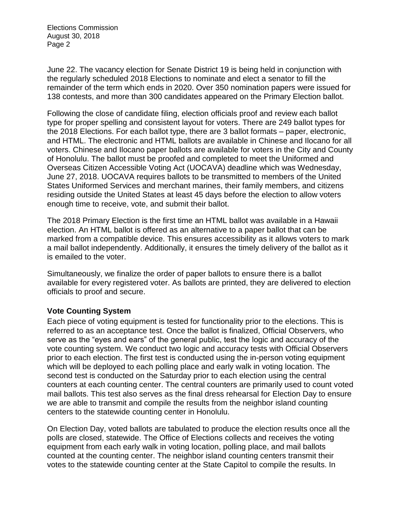June 22. The vacancy election for Senate District 19 is being held in conjunction with the regularly scheduled 2018 Elections to nominate and elect a senator to fill the remainder of the term which ends in 2020. Over 350 nomination papers were issued for 138 contests, and more than 300 candidates appeared on the Primary Election ballot.

Following the close of candidate filing, election officials proof and review each ballot type for proper spelling and consistent layout for voters. There are 249 ballot types for the 2018 Elections. For each ballot type, there are 3 ballot formats – paper, electronic, and HTML. The electronic and HTML ballots are available in Chinese and Ilocano for all voters. Chinese and Ilocano paper ballots are available for voters in the City and County of Honolulu. The ballot must be proofed and completed to meet the Uniformed and Overseas Citizen Accessible Voting Act (UOCAVA) deadline which was Wednesday, June 27, 2018. UOCAVA requires ballots to be transmitted to members of the United States Uniformed Services and merchant marines, their family members, and citizens residing outside the United States at least 45 days before the election to allow voters enough time to receive, vote, and submit their ballot.

The 2018 Primary Election is the first time an HTML ballot was available in a Hawaii election. An HTML ballot is offered as an alternative to a paper ballot that can be marked from a compatible device. This ensures accessibility as it allows voters to mark a mail ballot independently. Additionally, it ensures the timely delivery of the ballot as it is emailed to the voter.

Simultaneously, we finalize the order of paper ballots to ensure there is a ballot available for every registered voter. As ballots are printed, they are delivered to election officials to proof and secure.

# **Vote Counting System**

Each piece of voting equipment is tested for functionality prior to the elections. This is referred to as an acceptance test. Once the ballot is finalized, Official Observers, who serve as the "eyes and ears" of the general public, test the logic and accuracy of the vote counting system. We conduct two logic and accuracy tests with Official Observers prior to each election. The first test is conducted using the in-person voting equipment which will be deployed to each polling place and early walk in voting location. The second test is conducted on the Saturday prior to each election using the central counters at each counting center. The central counters are primarily used to count voted mail ballots. This test also serves as the final dress rehearsal for Election Day to ensure we are able to transmit and compile the results from the neighbor island counting centers to the statewide counting center in Honolulu.

On Election Day, voted ballots are tabulated to produce the election results once all the polls are closed, statewide. The Office of Elections collects and receives the voting equipment from each early walk in voting location, polling place, and mail ballots counted at the counting center. The neighbor island counting centers transmit their votes to the statewide counting center at the State Capitol to compile the results. In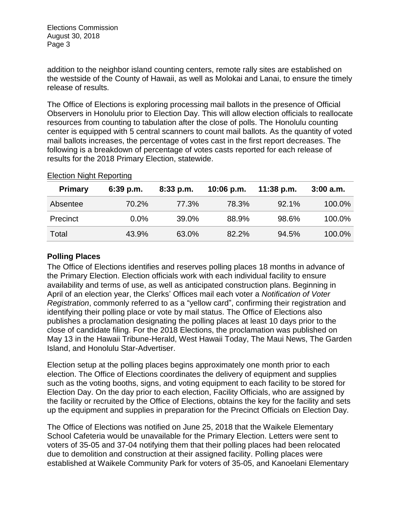addition to the neighbor island counting centers, remote rally sites are established on the westside of the County of Hawaii, as well as Molokai and Lanai, to ensure the timely release of results.

The Office of Elections is exploring processing mail ballots in the presence of Official Observers in Honolulu prior to Election Day. This will allow election officials to reallocate resources from counting to tabulation after the close of polls. The Honolulu counting center is equipped with 5 central scanners to count mail ballots. As the quantity of voted mail ballots increases, the percentage of votes cast in the first report decreases. The following is a breakdown of percentage of votes casts reported for each release of results for the 2018 Primary Election, statewide.

| <b>Primary</b> | $6:39$ p.m. | $8:33$ p.m. | $10:06$ p.m. | $11:38$ p.m. | $3:00$ a.m. |
|----------------|-------------|-------------|--------------|--------------|-------------|
| Absentee       | 70.2%       | 77.3%       | 78.3%        | 92.1%        | 100.0%      |
| Precinct       | $0.0\%$     | 39.0%       | 88.9%        | 98.6%        | 100.0%      |
| Total          | 43.9%       | 63.0%       | 82.2%        | 94.5%        | 100.0%      |

#### Election Night Reporting

# **Polling Places**

The Office of Elections identifies and reserves polling places 18 months in advance of the Primary Election. Election officials work with each individual facility to ensure availability and terms of use, as well as anticipated construction plans. Beginning in April of an election year, the Clerks' Offices mail each voter a *Notification of Voter Registration*, commonly referred to as a "yellow card", confirming their registration and identifying their polling place or vote by mail status. The Office of Elections also publishes a proclamation designating the polling places at least 10 days prior to the close of candidate filing. For the 2018 Elections, the proclamation was published on May 13 in the Hawaii Tribune-Herald, West Hawaii Today, The Maui News, The Garden Island, and Honolulu Star-Advertiser.

Election setup at the polling places begins approximately one month prior to each election. The Office of Elections coordinates the delivery of equipment and supplies such as the voting booths, signs, and voting equipment to each facility to be stored for Election Day. On the day prior to each election, Facility Officials, who are assigned by the facility or recruited by the Office of Elections, obtains the key for the facility and sets up the equipment and supplies in preparation for the Precinct Officials on Election Day.

The Office of Elections was notified on June 25, 2018 that the Waikele Elementary School Cafeteria would be unavailable for the Primary Election. Letters were sent to voters of 35-05 and 37-04 notifying them that their polling places had been relocated due to demolition and construction at their assigned facility. Polling places were established at Waikele Community Park for voters of 35-05, and Kanoelani Elementary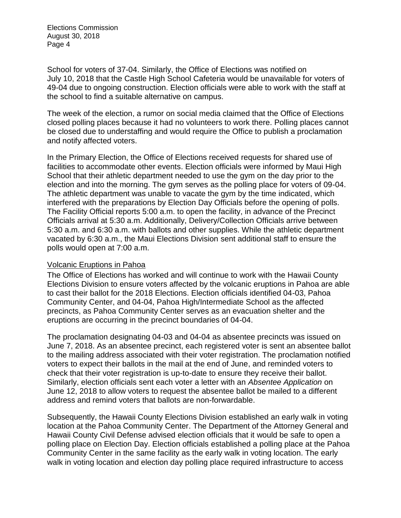School for voters of 37-04. Similarly, the Office of Elections was notified on July 10, 2018 that the Castle High School Cafeteria would be unavailable for voters of 49-04 due to ongoing construction. Election officials were able to work with the staff at the school to find a suitable alternative on campus.

The week of the election, a rumor on social media claimed that the Office of Elections closed polling places because it had no volunteers to work there. Polling places cannot be closed due to understaffing and would require the Office to publish a proclamation and notify affected voters.

In the Primary Election, the Office of Elections received requests for shared use of facilities to accommodate other events. Election officials were informed by Maui High School that their athletic department needed to use the gym on the day prior to the election and into the morning. The gym serves as the polling place for voters of 09-04. The athletic department was unable to vacate the gym by the time indicated, which interfered with the preparations by Election Day Officials before the opening of polls. The Facility Official reports 5:00 a.m. to open the facility, in advance of the Precinct Officials arrival at 5:30 a.m. Additionally, Delivery/Collection Officials arrive between 5:30 a.m. and 6:30 a.m. with ballots and other supplies. While the athletic department vacated by 6:30 a.m., the Maui Elections Division sent additional staff to ensure the polls would open at 7:00 a.m.

# Volcanic Eruptions in Pahoa

The Office of Elections has worked and will continue to work with the Hawaii County Elections Division to ensure voters affected by the volcanic eruptions in Pahoa are able to cast their ballot for the 2018 Elections. Election officials identified 04-03, Pahoa Community Center, and 04-04, Pahoa High/Intermediate School as the affected precincts, as Pahoa Community Center serves as an evacuation shelter and the eruptions are occurring in the precinct boundaries of 04-04.

The proclamation designating 04-03 and 04-04 as absentee precincts was issued on June 7, 2018. As an absentee precinct, each registered voter is sent an absentee ballot to the mailing address associated with their voter registration. The proclamation notified voters to expect their ballots in the mail at the end of June, and reminded voters to check that their voter registration is up-to-date to ensure they receive their ballot. Similarly, election officials sent each voter a letter with an *Absentee Application* on June 12, 2018 to allow voters to request the absentee ballot be mailed to a different address and remind voters that ballots are non-forwardable.

Subsequently, the Hawaii County Elections Division established an early walk in voting location at the Pahoa Community Center. The Department of the Attorney General and Hawaii County Civil Defense advised election officials that it would be safe to open a polling place on Election Day. Election officials established a polling place at the Pahoa Community Center in the same facility as the early walk in voting location. The early walk in voting location and election day polling place required infrastructure to access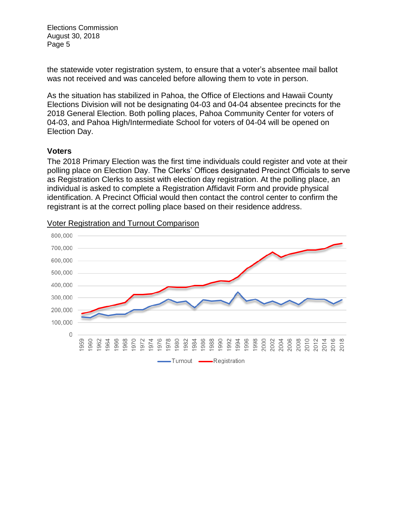the statewide voter registration system, to ensure that a voter's absentee mail ballot was not received and was canceled before allowing them to vote in person.

As the situation has stabilized in Pahoa, the Office of Elections and Hawaii County Elections Division will not be designating 04-03 and 04-04 absentee precincts for the 2018 General Election. Both polling places, Pahoa Community Center for voters of 04-03, and Pahoa High/Intermediate School for voters of 04-04 will be opened on Election Day.

# **Voters**

The 2018 Primary Election was the first time individuals could register and vote at their polling place on Election Day. The Clerks' Offices designated Precinct Officials to serve as Registration Clerks to assist with election day registration. At the polling place, an individual is asked to complete a Registration Affidavit Form and provide physical identification. A Precinct Official would then contact the control center to confirm the registrant is at the correct polling place based on their residence address.



#### Voter Registration and Turnout Comparison